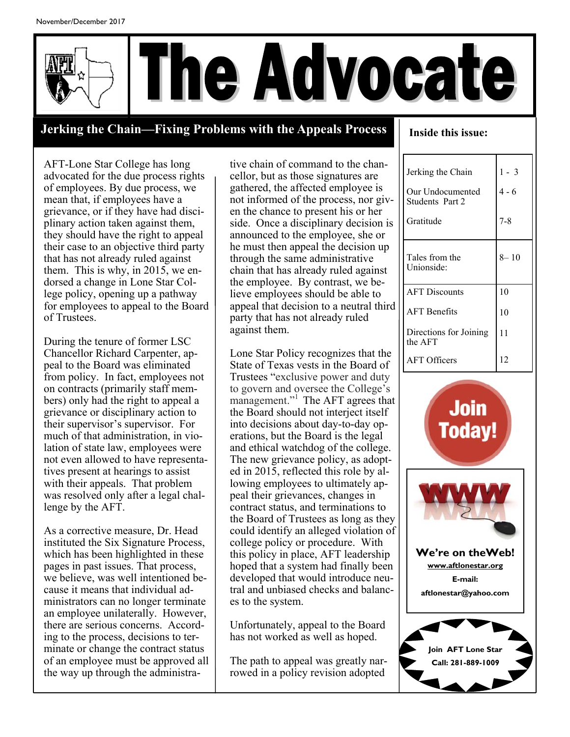

### **Jerking the Chain—Fixing Problems with the Appeals Process**

**Inside this issue:** 

AFT-Lone Star College has long advocated for the due process rights of employees. By due process, we mean that, if employees have a grievance, or if they have had disciplinary action taken against them, they should have the right to appeal their case to an objective third party that has not already ruled against them. This is why, in 2015, we endorsed a change in Lone Star College policy, opening up a pathway for employees to appeal to the Board of Trustees.

During the tenure of former LSC Chancellor Richard Carpenter, appeal to the Board was eliminated from policy. In fact, employees not on contracts (primarily staff members) only had the right to appeal a grievance or disciplinary action to their supervisor's supervisor. For much of that administration, in violation of state law, employees were not even allowed to have representatives present at hearings to assist with their appeals. That problem was resolved only after a legal challenge by the AFT.

As a corrective measure, Dr. Head instituted the Six Signature Process, which has been highlighted in these pages in past issues. That process, we believe, was well intentioned because it means that individual administrators can no longer terminate an employee unilaterally. However, there are serious concerns. According to the process, decisions to terminate or change the contract status of an employee must be approved all the way up through the administrative chain of command to the chancellor, but as those signatures are gathered, the affected employee is not informed of the process, nor given the chance to present his or her side. Once a disciplinary decision is announced to the employee, she or he must then appeal the decision up through the same administrative chain that has already ruled against the employee. By contrast, we believe employees should be able to appeal that decision to a neutral third party that has not already ruled against them.

Lone Star Policy recognizes that the State of Texas vests in the Board of Trustees "exclusive power and duty to govern and oversee the College's management."<sup>1</sup> The AFT agrees that the Board should not interject itself into decisions about day-to-day operations, but the Board is the legal and ethical watchdog of the college. The new grievance policy, as adopted in 2015, reflected this role by allowing employees to ultimately appeal their grievances, changes in contract status, and terminations to the Board of Trustees as long as they could identify an alleged violation of college policy or procedure. With this policy in place, AFT leadership hoped that a system had finally been developed that would introduce neutral and unbiased checks and balances to the system.

Unfortunately, appeal to the Board has not worked as well as hoped.

The path to appeal was greatly narrowed in a policy revision adopted

| Jerking the Chain<br>Our Undocumented<br>Students Part 2<br>Gratitude | $1 - 3$<br>4 - 6<br>7-8 |
|-----------------------------------------------------------------------|-------------------------|
| Tales from the<br>Unionside:                                          | $8 - 10$                |
| <b>AFT Discounts</b><br><b>AFT</b> Benefits                           | 10<br>10                |
| Directions for Joining<br>the AFT                                     | 11                      |
| <b>AFT Officers</b>                                                   | 12                      |

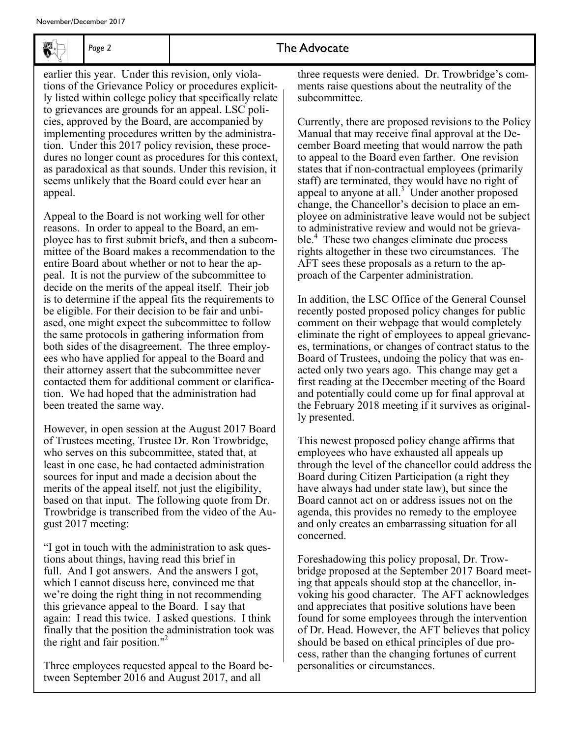

*Page 2* 

### The Advocate

earlier this year. Under this revision, only violations of the Grievance Policy or procedures explicitly listed within college policy that specifically relate to grievances are grounds for an appeal. LSC policies, approved by the Board, are accompanied by implementing procedures written by the administration. Under this 2017 policy revision, these procedures no longer count as procedures for this context, as paradoxical as that sounds. Under this revision, it seems unlikely that the Board could ever hear an appeal.

Appeal to the Board is not working well for other reasons. In order to appeal to the Board, an employee has to first submit briefs, and then a subcommittee of the Board makes a recommendation to the entire Board about whether or not to hear the appeal. It is not the purview of the subcommittee to decide on the merits of the appeal itself. Their job is to determine if the appeal fits the requirements to be eligible. For their decision to be fair and unbiased, one might expect the subcommittee to follow the same protocols in gathering information from both sides of the disagreement. The three employees who have applied for appeal to the Board and their attorney assert that the subcommittee never contacted them for additional comment or clarification. We had hoped that the administration had been treated the same way.

However, in open session at the August 2017 Board of Trustees meeting, Trustee Dr. Ron Trowbridge, who serves on this subcommittee, stated that, at least in one case, he had contacted administration sources for input and made a decision about the merits of the appeal itself, not just the eligibility, based on that input. The following quote from Dr. Trowbridge is transcribed from the video of the August 2017 meeting:

"I got in touch with the administration to ask questions about things, having read this brief in full. And I got answers. And the answers I got, which I cannot discuss here, convinced me that we're doing the right thing in not recommending this grievance appeal to the Board. I say that again: I read this twice. I asked questions. I think finally that the position the administration took was the right and fair position."<sup>2</sup>

Three employees requested appeal to the Board between September 2016 and August 2017, and all

three requests were denied. Dr. Trowbridge's comments raise questions about the neutrality of the subcommittee.

Currently, there are proposed revisions to the Policy Manual that may receive final approval at the December Board meeting that would narrow the path to appeal to the Board even farther. One revision states that if non-contractual employees (primarily staff) are terminated, they would have no right of appeal to anyone at all. $3$  Under another proposed change, the Chancellor's decision to place an employee on administrative leave would not be subject to administrative review and would not be grievable.<sup>4</sup> These two changes eliminate due process rights altogether in these two circumstances. The AFT sees these proposals as a return to the approach of the Carpenter administration.

In addition, the LSC Office of the General Counsel recently posted proposed policy changes for public comment on their webpage that would completely eliminate the right of employees to appeal grievances, terminations, or changes of contract status to the Board of Trustees, undoing the policy that was enacted only two years ago. This change may get a first reading at the December meeting of the Board and potentially could come up for final approval at the February 2018 meeting if it survives as originally presented.

This newest proposed policy change affirms that employees who have exhausted all appeals up through the level of the chancellor could address the Board during Citizen Participation (a right they have always had under state law), but since the Board cannot act on or address issues not on the agenda, this provides no remedy to the employee and only creates an embarrassing situation for all concerned.

Foreshadowing this policy proposal, Dr. Trowbridge proposed at the September 2017 Board meeting that appeals should stop at the chancellor, invoking his good character. The AFT acknowledges and appreciates that positive solutions have been found for some employees through the intervention of Dr. Head. However, the AFT believes that policy should be based on ethical principles of due process, rather than the changing fortunes of current personalities or circumstances.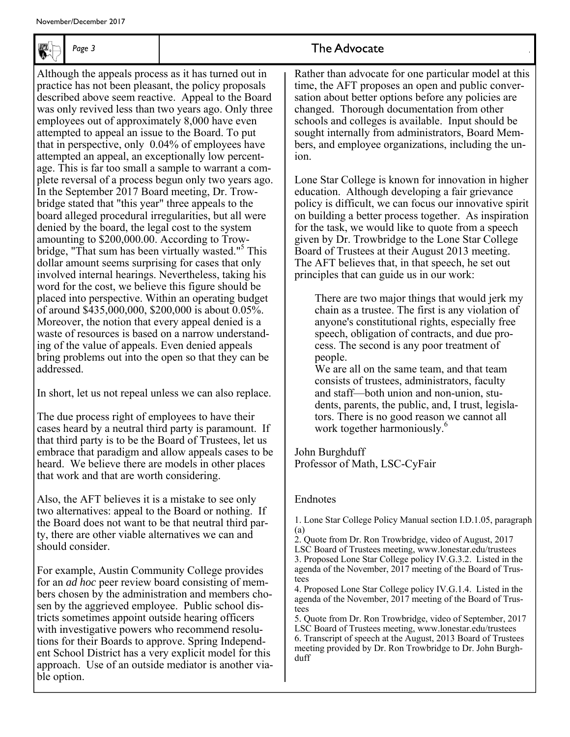

*Page 3* 

Although the appeals process as it has turned out in practice has not been pleasant, the policy proposals described above seem reactive. Appeal to the Board was only revived less than two years ago. Only three employees out of approximately 8,000 have even attempted to appeal an issue to the Board. To put that in perspective, only 0.04% of employees have attempted an appeal, an exceptionally low percentage. This is far too small a sample to warrant a complete reversal of a process begun only two years ago. In the September 2017 Board meeting, Dr. Trowbridge stated that "this year" three appeals to the board alleged procedural irregularities, but all were denied by the board, the legal cost to the system amounting to \$200,000.00. According to Trowbridge, "That sum has been virtually wasted."<sup>5</sup> This dollar amount seems surprising for cases that only involved internal hearings. Nevertheless, taking his word for the cost, we believe this figure should be placed into perspective. Within an operating budget of around \$435,000,000, \$200,000 is about 0.05%. Moreover, the notion that every appeal denied is a waste of resources is based on a narrow understanding of the value of appeals. Even denied appeals bring problems out into the open so that they can be addressed.

In short, let us not repeal unless we can also replace.

The due process right of employees to have their cases heard by a neutral third party is paramount. If that third party is to be the Board of Trustees, let us embrace that paradigm and allow appeals cases to be heard. We believe there are models in other places that work and that are worth considering.

Also, the AFT believes it is a mistake to see only two alternatives: appeal to the Board or nothing. If the Board does not want to be that neutral third party, there are other viable alternatives we can and should consider.

For example, Austin Community College provides for an *ad hoc* peer review board consisting of members chosen by the administration and members chosen by the aggrieved employee. Public school districts sometimes appoint outside hearing officers with investigative powers who recommend resolutions for their Boards to approve. Spring Independent School District has a very explicit model for this approach. Use of an outside mediator is another viable option.

### The Advocate

Rather than advocate for one particular model at this time, the AFT proposes an open and public conversation about better options before any policies are changed. Thorough documentation from other schools and colleges is available. Input should be sought internally from administrators, Board Members, and employee organizations, including the union.

Lone Star College is known for innovation in higher education. Although developing a fair grievance policy is difficult, we can focus our innovative spirit on building a better process together. As inspiration for the task, we would like to quote from a speech given by Dr. Trowbridge to the Lone Star College Board of Trustees at their August 2013 meeting. The AFT believes that, in that speech, he set out principles that can guide us in our work:

There are two major things that would jerk my chain as a trustee. The first is any violation of anyone's constitutional rights, especially free speech, obligation of contracts, and due process. The second is any poor treatment of people.

We are all on the same team, and that team consists of trustees, administrators, faculty and staff—both union and non-union, students, parents, the public, and, I trust, legislators. There is no good reason we cannot all work together harmoniously.<sup>6</sup>

### John Burghduff

Professor of Math, LSC-CyFair

#### Endnotes

1. Lone Star College Policy Manual section I.D.1.05, paragraph (a)

2. Quote from Dr. Ron Trowbridge, video of August, 2017

LSC Board of Trustees meeting, www.lonestar.edu/trustees 3. Proposed Lone Star College policy IV.G.3.2. Listed in the

agenda of the November, 2017 meeting of the Board of Trustees 4. Proposed Lone Star College policy IV.G.1.4. Listed in the

agenda of the November, 2017 meeting of the Board of Trustees

5. Quote from Dr. Ron Trowbridge, video of September, 2017 LSC Board of Trustees meeting, www.lonestar.edu/trustees 6. Transcript of speech at the August, 2013 Board of Trustees meeting provided by Dr. Ron Trowbridge to Dr. John Burghduff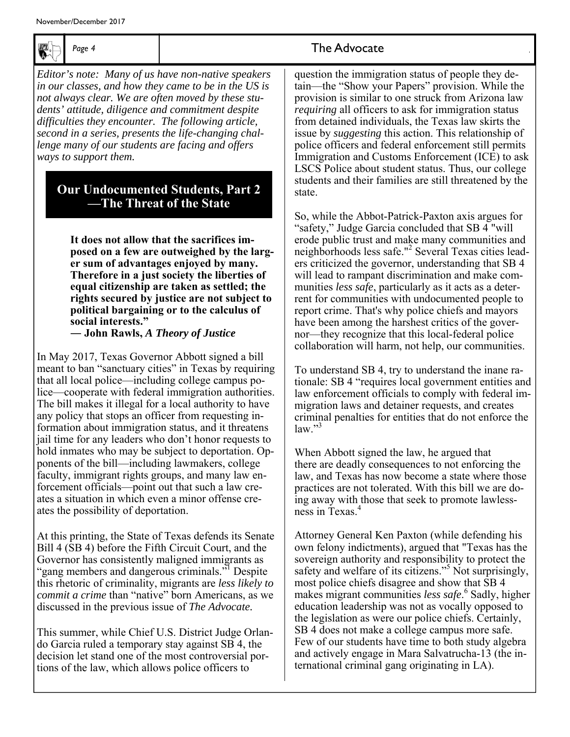

*Editor's note: Many of us have non-native speakers in our classes, and how they came to be in the US is not always clear. We are often moved by these students' attitude, diligence and commitment despite difficulties they encounter. The following article, second in a series, presents the life-changing challenge many of our students are facing and offers ways to support them.*

### **Our Undocumented Students, Part 2 —The Threat of the State**

**It does not allow that the sacrifices imposed on a few are outweighed by the larger sum of advantages enjoyed by many. Therefore in a just society the liberties of equal citizenship are taken as settled; the rights secured by justice are not subject to political bargaining or to the calculus of social interests."** 

**― John Rawls,** *A Theory of Justice* 

In May 2017, Texas Governor Abbott signed a bill meant to ban "sanctuary cities" in Texas by requiring that all local police—including college campus police—cooperate with federal immigration authorities. The bill makes it illegal for a local authority to have any policy that stops an officer from requesting information about immigration status, and it threatens jail time for any leaders who don't honor requests to hold inmates who may be subject to deportation. Opponents of the bill—including lawmakers, college faculty, immigrant rights groups, and many law enforcement officials—point out that such a law creates a situation in which even a minor offense creates the possibility of deportation.

At this printing, the State of Texas defends its Senate Bill 4 (SB 4) before the Fifth Circuit Court, and the Governor has consistently maligned immigrants as "gang members and dangerous criminals." Despite this rhetoric of criminality, migrants are *less likely to commit a crime* than "native" born Americans, as we discussed in the previous issue of *The Advocate.*

This summer, while Chief U.S. District Judge Orlando Garcia ruled a temporary stay against SB 4, the decision let stand one of the most controversial portions of the law, which allows police officers to

### Page 4 **The Advocate**

question the immigration status of people they detain—the "Show your Papers" provision. While the provision is similar to one struck from Arizona law *requiring* all officers to ask for immigration status from detained individuals, the Texas law skirts the issue by *suggesting* this action. This relationship of police officers and federal enforcement still permits Immigration and Customs Enforcement (ICE) to ask LSCS Police about student status. Thus, our college students and their families are still threatened by the state.

So, while the Abbot-Patrick-Paxton axis argues for "safety," Judge Garcia concluded that SB 4 "will erode public trust and make many communities and neighborhoods less safe."<sup>2</sup> Several Texas cities leaders criticized the governor, understanding that SB 4 will lead to rampant discrimination and make communities *less safe*, particularly as it acts as a deterrent for communities with undocumented people to report crime. That's why police chiefs and mayors have been among the harshest critics of the governor—they recognize that this local-federal police collaboration will harm, not help, our communities.

To understand SB 4, try to understand the inane rationale: SB 4 "requires local government entities and law enforcement officials to comply with federal immigration laws and detainer requests, and creates criminal penalties for entities that do not enforce the  $law."$ <sup>3</sup>

When Abbott signed the law, he argued that there are deadly consequences to not enforcing the law, and Texas has now become a state where those practices are not tolerated. With this bill we are doing away with those that seek to promote lawlessness in Texas.4

Attorney General Ken Paxton (while defending his own felony indictments), argued that "Texas has the sovereign authority and responsibility to protect the safety and welfare of its citizens."<sup>5</sup> Not surprisingly, most police chiefs disagree and show that SB 4 makes migrant communities *less safe*. 6 Sadly, higher education leadership was not as vocally opposed to the legislation as were our police chiefs. Certainly, SB 4 does not make a college campus more safe. Few of our students have time to both study algebra and actively engage in Mara Salvatrucha-13 (the international criminal gang originating in LA).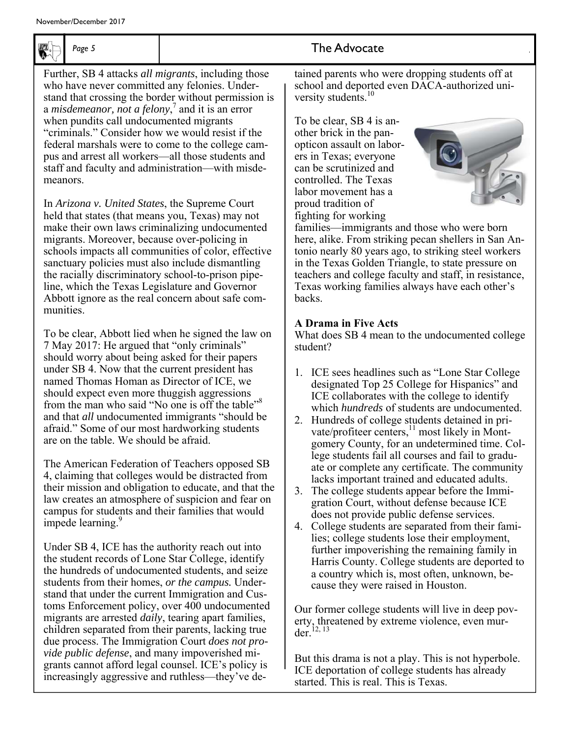

Further, SB 4 attacks *all migrants*, including those who have never committed any felonies. Understand that crossing the border without permission is a *misdemeanor, not a felony*,<sup>7</sup> and it is an error when pundits call undocumented migrants "criminals." Consider how we would resist if the federal marshals were to come to the college campus and arrest all workers—all those students and staff and faculty and administration—with misdemeanors.

In *Arizona v. United States*, the Supreme Court held that states (that means you, Texas) may not make their own laws criminalizing undocumented migrants. Moreover, because over-policing in schools impacts all communities of color, effective sanctuary policies must also include dismantling the racially discriminatory school-to-prison pipeline, which the Texas Legislature and Governor Abbott ignore as the real concern about safe communities.

To be clear, Abbott lied when he signed the law on 7 May 2017: He argued that "only criminals" should worry about being asked for their papers under SB 4. Now that the current president has named Thomas Homan as Director of ICE, we should expect even more thuggish aggressions from the man who said "No one is off the table"<sup>8</sup> and that *all* undocumented immigrants "should be afraid." Some of our most hardworking students are on the table. We should be afraid.

The American Federation of Teachers opposed SB 4, claiming that colleges would be distracted from their mission and obligation to educate, and that the law creates an atmosphere of suspicion and fear on campus for students and their families that would impede learning.<sup>9</sup>

Under SB 4, ICE has the authority reach out into the student records of Lone Star College, identify the hundreds of undocumented students, and seize students from their homes, *or the campus.* Understand that under the current Immigration and Customs Enforcement policy, over 400 undocumented migrants are arrested *daily*, tearing apart families, children separated from their parents, lacking true due process. The Immigration Court *does not provide public defense*, and many impoverished migrants cannot afford legal counsel. ICE's policy is increasingly aggressive and ruthless—they've de-

### Page 5 and **7** and **7** and **7** and **7** and **7** he Advocate

tained parents who were dropping students off at school and deported even DACA-authorized university students.<sup>10</sup>

To be clear, SB 4 is another brick in the panopticon assault on laborers in Texas; everyone can be scrutinized and controlled. The Texas labor movement has a proud tradition of fighting for working



families—immigrants and those who were born here, alike. From striking pecan shellers in San Antonio nearly 80 years ago, to striking steel workers in the Texas Golden Triangle, to state pressure on teachers and college faculty and staff, in resistance, Texas working families always have each other's backs.

### **A Drama in Five Acts**

What does SB 4 mean to the undocumented college student?

- 1. ICE sees headlines such as "Lone Star College designated Top 25 College for Hispanics" and ICE collaborates with the college to identify which *hundreds* of students are undocumented.
- 2. Hundreds of college students detained in private/profiteer centers,<sup>11</sup> most likely in Montgomery County, for an undetermined time. College students fail all courses and fail to graduate or complete any certificate. The community lacks important trained and educated adults.
- 3. The college students appear before the Immigration Court, without defense because ICE does not provide public defense services.
- 4. College students are separated from their families; college students lose their employment, further impoverishing the remaining family in Harris County. College students are deported to a country which is, most often, unknown, because they were raised in Houston.

Our former college students will live in deep poverty, threatened by extreme violence, even murder.12, 13

But this drama is not a play. This is not hyperbole. ICE deportation of college students has already started. This is real. This is Texas.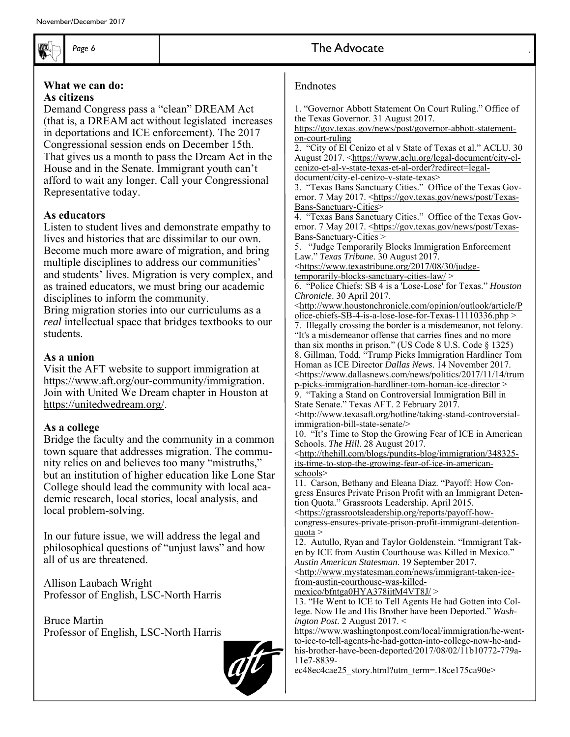

#### **What we can do: As citizens**

Demand Congress pass a "clean" DREAM Act (that is, a DREAM act without legislated increases in deportations and ICE enforcement). The 2017 Congressional session ends on December 15th. That gives us a month to pass the Dream Act in the House and in the Senate. Immigrant youth can't afford to wait any longer. Call your Congressional Representative today.

### **As educators**

Listen to student lives and demonstrate empathy to lives and histories that are dissimilar to our own. Become much more aware of migration, and bring multiple disciplines to address our communities' and students' lives. Migration is very complex, and as trained educators, we must bring our academic disciplines to inform the community.

Bring migration stories into our curriculums as a *real* intellectual space that bridges textbooks to our students.

#### **As a union**

Visit the AFT website to support immigration at https://www.aft.org/our-community/immigration. Join with United We Dream chapter in Houston at https://unitedwedream.org/.

### **As a college**

Bridge the faculty and the community in a common town square that addresses migration. The community relies on and believes too many "mistruths," but an institution of higher education like Lone Star College should lead the community with local academic research, local stories, local analysis, and local problem-solving.

In our future issue, we will address the legal and philosophical questions of "unjust laws" and how all of us are threatened.

Allison Laubach Wright Professor of English, LSC-North Harris

Bruce Martin Professor of English, LSC-North Harris



### Page 6 **The Advocate**

#### Endnotes

1. "Governor Abbott Statement On Court Ruling." Office of the Texas Governor. 31 August 2017.

https://gov.texas.gov/news/post/governor-abbott-statementon-court-ruling

2. "City of El Cenizo et al v State of Texas et al." ACLU. 30 August 2017. <https://www.aclu.org/legal-document/city-elcenizo-et-al-v-state-texas-et-al-order?redirect=legaldocument/city-el-cenizo-v-state-texas>

3. "Texas Bans Sanctuary Cities." Office of the Texas Governor. 7 May 2017. <https://gov.texas.gov/news/post/Texas-Bans-Sanctuary-Cities>

4. "Texas Bans Sanctuary Cities." Office of the Texas Governor. 7 May 2017. <https://gov.texas.gov/news/post/Texas-Bans-Sanctuary-Cities >

5. "Judge Temporarily Blocks Immigration Enforcement Law." *Texas Tribune*. 30 August 2017.

<https://www.texastribune.org/2017/08/30/judgetemporarily-blocks-sanctuary-cities-law/ >

6. "Police Chiefs: SB 4 is a 'Lose-Lose' for Texas." *Houston Chronicle*. 30 April 2017.

<http://www.houstonchronicle.com/opinion/outlook/article/P olice-chiefs-SB-4-is-a-lose-lose-for-Texas-11110336.php >

7. Illegally crossing the border is a misdemeanor, not felony. "It's a misdemeanor offense that carries fines and no more than six months in prison." (US Code 8 U.S. Code § 1325) 8. Gillman, Todd. "Trump Picks Immigration Hardliner Tom Homan as ICE Director *Dallas News*. 14 November 2017. <https://www.dallasnews.com/news/politics/2017/11/14/trum

p-picks-immigration-hardliner-tom-homan-ice-director > 9. "Taking a Stand on Controversial Immigration Bill in State Senate." Texas AFT. 2 February 2017.

<http://www.texasaft.org/hotline/taking-stand-controversialimmigration-bill-state-senate/>

10. "It's Time to Stop the Growing Fear of ICE in American Schools. *The Hill*. 28 August 2017.

<http://thehill.com/blogs/pundits-blog/immigration/348325 its-time-to-stop-the-growing-fear-of-ice-in-americanschools>

11. Carson, Bethany and Eleana Diaz. "Payoff: How Congress Ensures Private Prison Profit with an Immigrant Detention Quota." Grassroots Leadership. April 2015.

<https://grassrootsleadership.org/reports/payoff-howcongress-ensures-private-prison-profit-immigrant-detention $quot<sub>a</sub>$ 

12. Autullo, Ryan and Taylor Goldenstein. "Immigrant Taken by ICE from Austin Courthouse was Killed in Mexico." *Austin American Statesman*. 19 September 2017.

<http://www.mystatesman.com/news/immigrant-taken-icefrom-austin-courthouse-was-killed-

mexico/bfntga0HYA378iitM4VT8J/ >

13. "He Went to ICE to Tell Agents He had Gotten into College. Now He and His Brother have been Deported." *Washington Post*. 2 August 2017. <

https://www.washingtonpost.com/local/immigration/he-wentto-ice-to-tell-agents-he-had-gotten-into-college-now-he-andhis-brother-have-been-deported/2017/08/02/11b10772-779a-11e7-8839-

ec48ec4cae25\_story.html?utm\_term=.18ce175ca90e>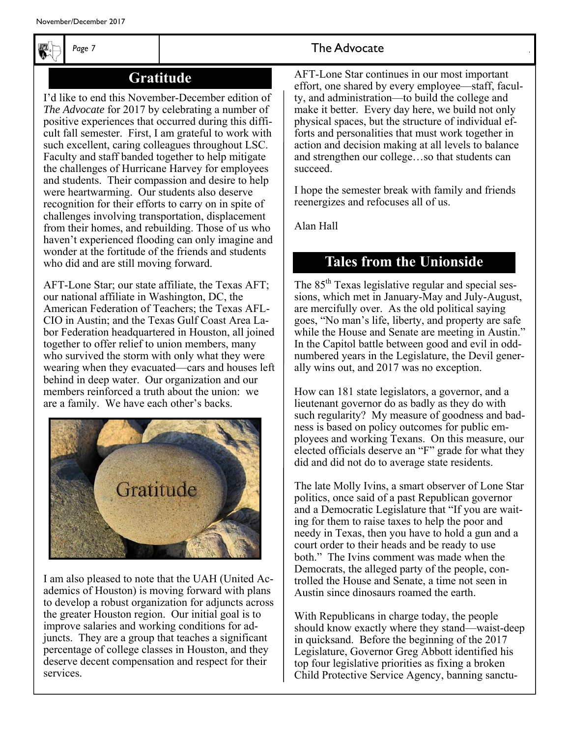

### **Gratitude**

I'd like to end this November-December edition of *The Advocate* for 2017 by celebrating a number of positive experiences that occurred during this difficult fall semester. First, I am grateful to work with such excellent, caring colleagues throughout LSC. Faculty and staff banded together to help mitigate the challenges of Hurricane Harvey for employees and students. Their compassion and desire to help were heartwarming. Our students also deserve recognition for their efforts to carry on in spite of challenges involving transportation, displacement from their homes, and rebuilding. Those of us who haven't experienced flooding can only imagine and wonder at the fortitude of the friends and students who did and are still moving forward.

AFT-Lone Star; our state affiliate, the Texas AFT; our national affiliate in Washington, DC, the American Federation of Teachers; the Texas AFL-CIO in Austin; and the Texas Gulf Coast Area Labor Federation headquartered in Houston, all joined together to offer relief to union members, many who survived the storm with only what they were wearing when they evacuated—cars and houses left behind in deep water. Our organization and our members reinforced a truth about the union: we are a family. We have each other's backs.



I am also pleased to note that the UAH (United Academics of Houston) is moving forward with plans to develop a robust organization for adjuncts across the greater Houston region. Our initial goal is to improve salaries and working conditions for adjuncts. They are a group that teaches a significant percentage of college classes in Houston, and they deserve decent compensation and respect for their services.

### Page 7 **The Advocate**

AFT-Lone Star continues in our most important effort, one shared by every employee—staff, faculty, and administration—to build the college and make it better. Every day here, we build not only physical spaces, but the structure of individual efforts and personalities that must work together in action and decision making at all levels to balance and strengthen our college…so that students can succeed.

I hope the semester break with family and friends reenergizes and refocuses all of us.

Alan Hall

### **Tales from the Unionside**

The 85<sup>th</sup> Texas legislative regular and special sessions, which met in January-May and July-August, are mercifully over. As the old political saying goes, "No man's life, liberty, and property are safe while the House and Senate are meeting in Austin." In the Capitol battle between good and evil in oddnumbered years in the Legislature, the Devil generally wins out, and 2017 was no exception.

How can 181 state legislators, a governor, and a lieutenant governor do as badly as they do with such regularity? My measure of goodness and badness is based on policy outcomes for public employees and working Texans. On this measure, our elected officials deserve an "F" grade for what they did and did not do to average state residents.

The late Molly Ivins, a smart observer of Lone Star politics, once said of a past Republican governor and a Democratic Legislature that "If you are waiting for them to raise taxes to help the poor and needy in Texas, then you have to hold a gun and a court order to their heads and be ready to use both." The Ivins comment was made when the Democrats, the alleged party of the people, controlled the House and Senate, a time not seen in Austin since dinosaurs roamed the earth.

With Republicans in charge today, the people should know exactly where they stand—waist-deep in quicksand. Before the beginning of the 2017 Legislature, Governor Greg Abbott identified his top four legislative priorities as fixing a broken Child Protective Service Agency, banning sanctu-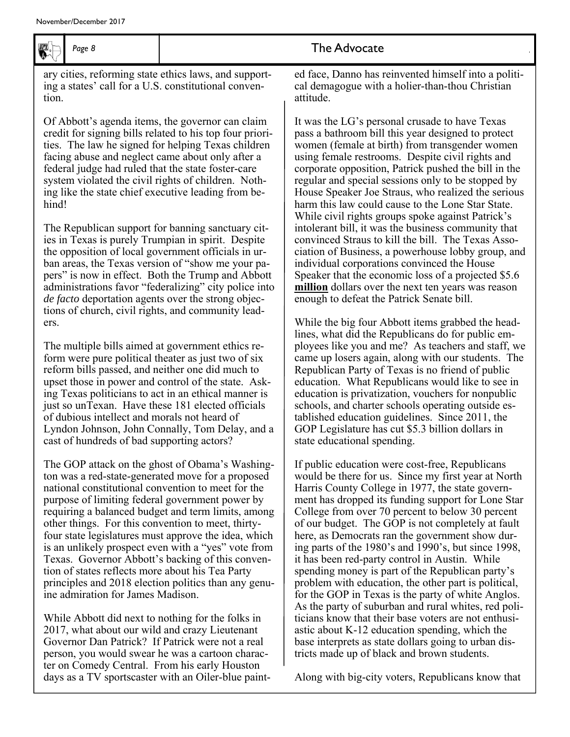

### Page 8 **The Advocate**

ary cities, reforming state ethics laws, and supporting a states' call for a U.S. constitutional convention.

Of Abbott's agenda items, the governor can claim credit for signing bills related to his top four priorities. The law he signed for helping Texas children facing abuse and neglect came about only after a federal judge had ruled that the state foster-care system violated the civil rights of children. Nothing like the state chief executive leading from behind!

The Republican support for banning sanctuary cities in Texas is purely Trumpian in spirit. Despite the opposition of local government officials in urban areas, the Texas version of "show me your papers" is now in effect. Both the Trump and Abbott administrations favor "federalizing" city police into *de facto* deportation agents over the strong objections of church, civil rights, and community leaders.

The multiple bills aimed at government ethics reform were pure political theater as just two of six reform bills passed, and neither one did much to upset those in power and control of the state. Asking Texas politicians to act in an ethical manner is just so unTexan. Have these 181 elected officials of dubious intellect and morals not heard of Lyndon Johnson, John Connally, Tom Delay, and a cast of hundreds of bad supporting actors?

The GOP attack on the ghost of Obama's Washington was a red-state-generated move for a proposed national constitutional convention to meet for the purpose of limiting federal government power by requiring a balanced budget and term limits, among other things. For this convention to meet, thirtyfour state legislatures must approve the idea, which is an unlikely prospect even with a "yes" vote from Texas. Governor Abbott's backing of this convention of states reflects more about his Tea Party principles and 2018 election politics than any genuine admiration for James Madison.

While Abbott did next to nothing for the folks in 2017, what about our wild and crazy Lieutenant Governor Dan Patrick? If Patrick were not a real person, you would swear he was a cartoon character on Comedy Central. From his early Houston days as a TV sportscaster with an Oiler-blue painted face, Danno has reinvented himself into a political demagogue with a holier-than-thou Christian attitude.

It was the LG's personal crusade to have Texas pass a bathroom bill this year designed to protect women (female at birth) from transgender women using female restrooms. Despite civil rights and corporate opposition, Patrick pushed the bill in the regular and special sessions only to be stopped by House Speaker Joe Straus, who realized the serious harm this law could cause to the Lone Star State. While civil rights groups spoke against Patrick's intolerant bill, it was the business community that convinced Straus to kill the bill. The Texas Association of Business, a powerhouse lobby group, and individual corporations convinced the House Speaker that the economic loss of a projected \$5.6 **million** dollars over the next ten years was reason enough to defeat the Patrick Senate bill.

While the big four Abbott items grabbed the headlines, what did the Republicans do for public employees like you and me? As teachers and staff, we came up losers again, along with our students. The Republican Party of Texas is no friend of public education. What Republicans would like to see in education is privatization, vouchers for nonpublic schools, and charter schools operating outside established education guidelines. Since 2011, the GOP Legislature has cut \$5.3 billion dollars in state educational spending.

If public education were cost-free, Republicans would be there for us. Since my first year at North Harris County College in 1977, the state government has dropped its funding support for Lone Star College from over 70 percent to below 30 percent of our budget. The GOP is not completely at fault here, as Democrats ran the government show during parts of the 1980's and 1990's, but since 1998, it has been red-party control in Austin. While spending money is part of the Republican party's problem with education, the other part is political, for the GOP in Texas is the party of white Anglos. As the party of suburban and rural whites, red politicians know that their base voters are not enthusiastic about K-12 education spending, which the base interprets as state dollars going to urban districts made up of black and brown students.

Along with big-city voters, Republicans know that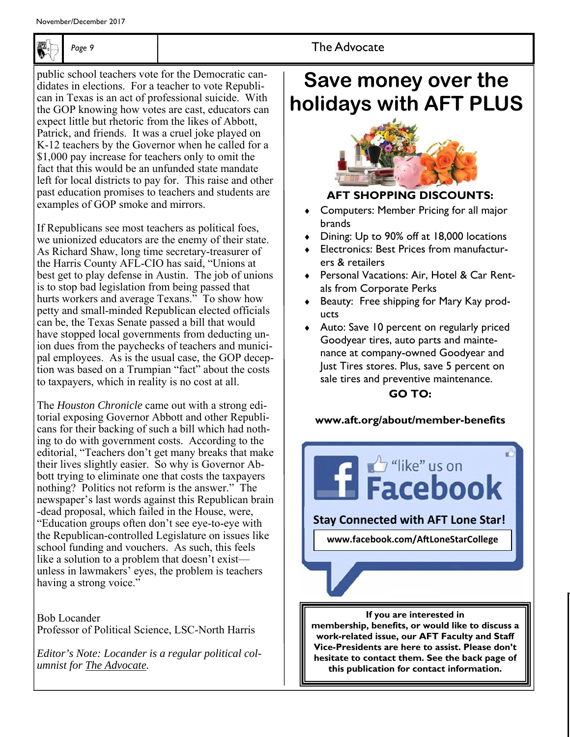

public school teachers vote for the Democratic candidates in elections. For a teacher to vote Republican in Texas is an act of professional suicide. With the GOP knowing how votes are cast, educators can expect little but rhetoric from the likes of Abbott, Patrick, and friends. It was a cruel joke played on K-12 teachers by the Governor when he called for a \$1,000 pay increase for teachers only to omit the fact that this would be an unfunded state mandate left for local districts to pay for. This raise and other past education promises to teachers and students are examples of GOP smoke and mirrors.

If Republicans see most teachers as political foes, we unionized educators are the enemy of their state. As Richard Shaw, long time secretary-treasurer of the Harris County AFL-CIO has said, "Unions at best get to play defense in Austin. The job of unions is to stop bad legislation from being passed that hurts workers and average Texans." To show how petty and small-minded Republican elected officials can be, the Texas Senate passed a bill that would have stopped local governments from deducting union dues from the paychecks of teachers and municipal employees. As is the usual case, the GOP deception was based on a Trumpian "fact" about the costs to taxpayers, which in reality is no cost at all.

The *Houston Chronicle* came out with a strong editorial exposing Governor Abbott and other Republicans for their backing of such a bill which had nothing to do with government costs. According to the editorial, "Teachers don't get many breaks that make their lives slightly easier. So why is Governor Abbott trying to eliminate one that costs the taxpayers nothing? Politics not reform is the answer." The newspaper's last words against this Republican brain -dead proposal, which failed in the House, were, "Education groups often don't see eye-to-eye with the Republican-controlled Legislature on issues like school funding and vouchers. As such, this feels like a solution to a problem that doesn't exist unless in lawmakers' eyes, the problem is teachers having a strong voice."

Bob Locander Professor of Political Science, LSC-North Harris

*Editor's Note: Locander is a regular political columnist for The Advocate.* 

### Page 9 **The Advocate**

### **Save money over the holidays with AFT PLUS**



### **AFT SHOPPING DISCOUNTS:**

- Computers: Member Pricing for all major brands
- ◆ Dining: Up to 90% off at 18,000 locations
- Electronics: Best Prices from manufacturers & retailers
- Personal Vacations: Air, Hotel & Car Rentals from Corporate Perks
- Beauty: Free shipping for Mary Kay products

 Auto: Save 10 percent on regularly priced Goodyear tires, auto parts and maintenance at company-owned Goodyear and Just Tires stores. Plus, save 5 percent on sale tires and preventive maintenance.

### **GO TO:**

### **www.aft.org/about/member-benefits**



**membership, benefits, or would like to discuss a work-related issue, our AFT Faculty and Staff Vice-Presidents are here to assist. Please don't hesitate to contact them. See the back page of this publication for contact information.**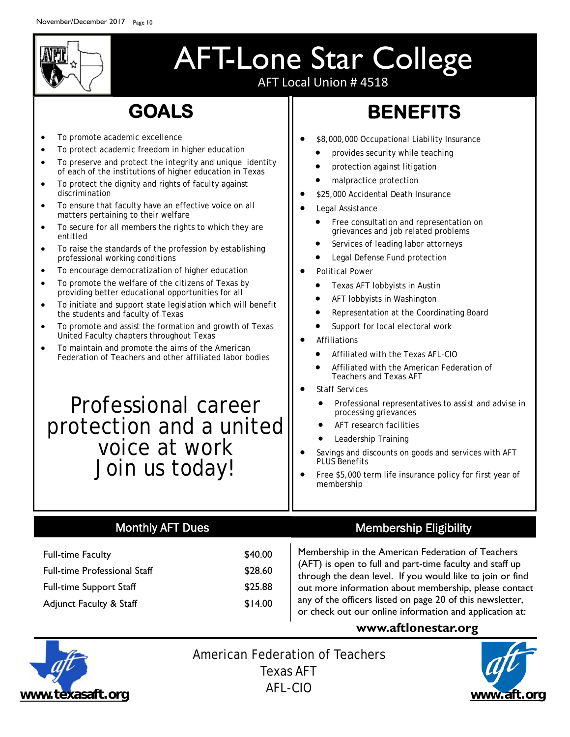

### AFT-Lone Star College AFT Local Union # 4518

### **GOALS**

- To promote academic excellence
- To protect academic freedom in higher education
- To preserve and protect the integrity and unique identity of each of the institutions of higher education in Texas
- To protect the dignity and rights of faculty against discrimination
- To ensure that faculty have an effective voice on all matters pertaining to their welfare
- To secure for all members the rights to which they are entitled
- To raise the standards of the profession by establishing professional working conditions
- To encourage democratization of higher education
- To promote the welfare of the citizens of Texas by providing better educational opportunities for all
- To initiate and support state legislation which will benefit the students and faculty of Texas
- To promote and assist the formation and growth of Texas United Faculty chapters throughout Texas
- To maintain and promote the aims of the American Federation of Teachers and other affiliated labor bodies

### Professional career protection and a united voice at work Join us today!

## **BENEFITS**

- \$8,000,000 Occupational Liability Insurance
	- provides security while teaching
	- protection against litigation
	- malpractice protection
- \$25,000 Accidental Death Insurance
- **•** Legal Assistance
	- Free consultation and representation on grievances and job related problems
	- Services of leading labor attorneys
	- Legal Defense Fund protection
- Political Power
	- Texas AFT lobbyists in Austin
	- AFT lobbyists in Washington
	- Representation at the Coordinating Board
	- Support for local electoral work
- Affiliations
	- Affiliated with the Texas AFL-CIO
	- Affiliated with the American Federation of Teachers and Texas AFT
- Staff Services
	- Professional representatives to assist and advise in processing grievances
	- AFT research facilities
	- Leadership Training
- Savings and discounts on goods and services with AFT PLUS Benefits
- Free \$5,000 term life insurance policy for first year of membership

### Monthly AFT Dues

| <b>Full-time Faculty</b>            | \$40.00 |
|-------------------------------------|---------|
| <b>Full-time Professional Staff</b> | \$28.60 |
| <b>Full-time Support Staff</b>      | \$25.88 |
| <b>Adjunct Faculty &amp; Staff</b>  | \$14.00 |

### Membership Eligibility

Membership in the American Federation of Teachers (AFT) is open to full and part-time faculty and staff up through the dean level. If you would like to join or find out more information about membership, please contact any of the officers listed on page 20 of this newsletter, or check out our online information and application at:

### **www.aftlonestar.org**



American Federation of Teachers Texas AFT AFL-CIO **www.texasaft.org www.aft.org**

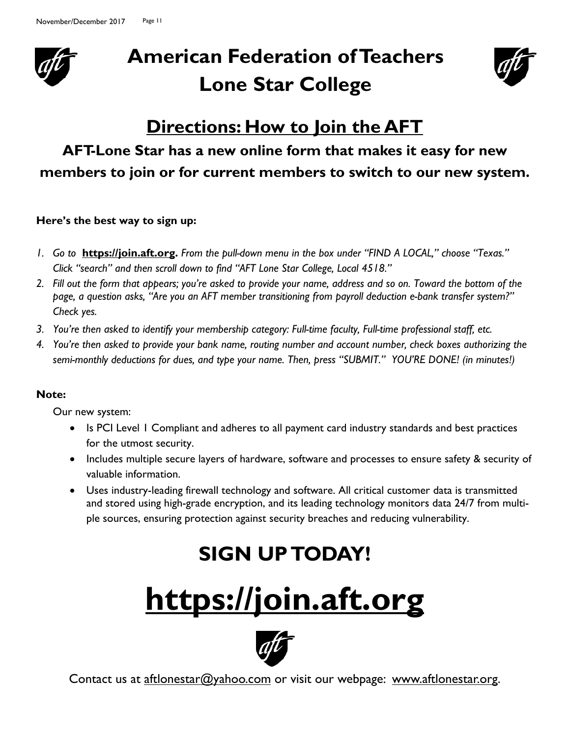

## **American Federation of Teachers Lone Star College**



### **Directions: How to Join the AFT**

### **AFT-Lone Star has a new online form that makes it easy for new members to join or for current members to switch to our new system.**

### **Here's the best way to sign up:**

- *1. Go to* **https://join.aft.org.** *From the pull-down menu in the box under "FIND A LOCAL," choose "Texas." Click "search" and then scroll down to find "AFT Lone Star College, Local 4518."*
- *2. Fill out the form that appears; you're asked to provide your name, address and so on. Toward the bottom of the page, a question asks, "Are you an AFT member transitioning from payroll deduction e-bank transfer system?" Check yes.*
- *3. You're then asked to identify your membership category: Full-time faculty, Full-time professional staff, etc.*
- *4. You're then asked to provide your bank name, routing number and account number, check boxes authorizing the semi-monthly deductions for dues, and type your name. Then, press "SUBMIT." YOU'RE DONE! (in minutes!)*

### **Note:**

Our new system:

- Is PCI Level 1 Compliant and adheres to all payment card industry standards and best practices for the utmost security.
- Includes multiple secure layers of hardware, software and processes to ensure safety & security of valuable information.
- Uses industry-leading firewall technology and software. All critical customer data is transmitted and stored using high-grade encryption, and its leading technology monitors data 24/7 from multiple sources, ensuring protection against security breaches and reducing vulnerability.

## **SIGN UP TODAY!**

# **https://join.aft.org**



Contact us at aftlonestar@yahoo.com or visit our webpage: www.aftlonestar.org.